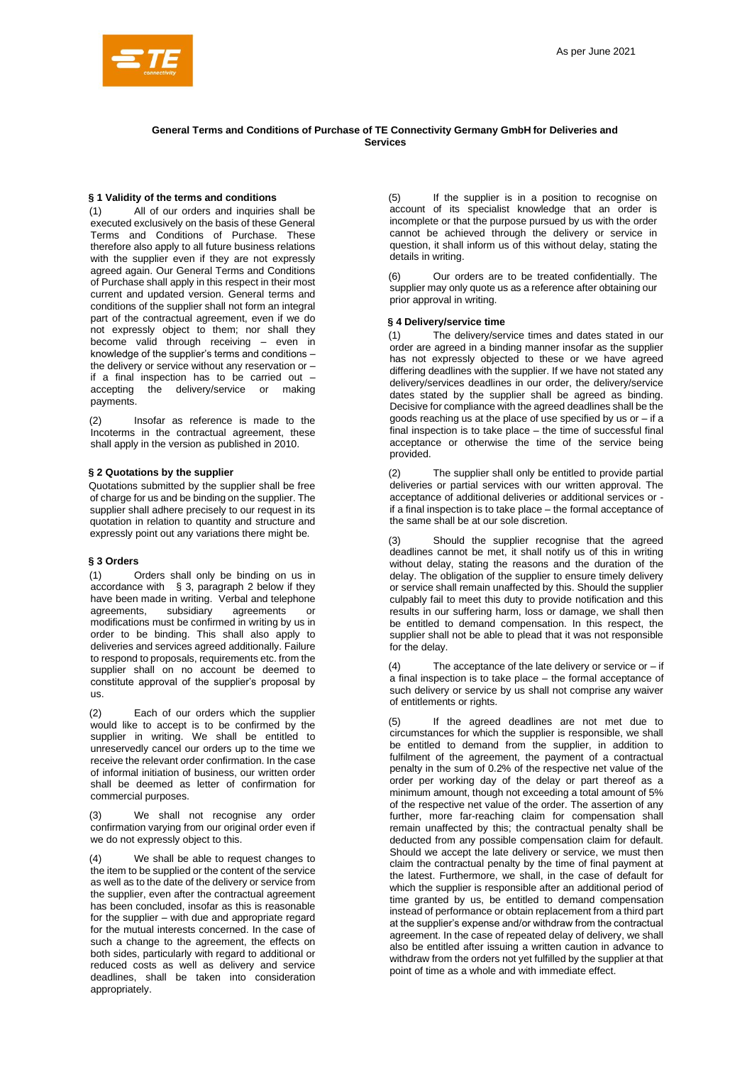# **General Terms and Conditions of Purchase of TE Connectivity Germany GmbH for Deliveries and Services**

# **§ 1 Validity of the terms and conditions**

(1) All of our orders and inquiries shall be executed exclusively on the basis of these General Terms and Conditions of Purchase. These therefore also apply to all future business relations with the supplier even if they are not expressly agreed again. Our General Terms and Conditions of Purchase shall apply in this respect in their most current and updated version. General terms and conditions of the supplier shall not form an integral part of the contractual agreement, even if we do not expressly object to them; nor shall they become valid through receiving – even in knowledge of the supplier's terms and conditions – the delivery or service without any reservation or – if a final inspection has to be carried out – accepting the delivery/service or making payments.

(2) Insofar as reference is made to the Incoterms in the contractual agreement, these shall apply in the version as published in 2010.

# **§ 2 Quotations by the supplier**

Quotations submitted by the supplier shall be free of charge for us and be binding on the supplier. The supplier shall adhere precisely to our request in its quotation in relation to quantity and structure and expressly point out any variations there might be.

## **§ 3 Orders**

(1) Orders shall only be binding on us in accordance with § 3, paragraph 2 below if they have been made in writing. Verbal and telephone agreements, subsidiary agreements or modifications must be confirmed in writing by us in order to be binding. This shall also apply to deliveries and services agreed additionally. Failure to respond to proposals, requirements etc. from the supplier shall on no account be deemed to constitute approval of the supplier's proposal by us.

(2) Each of our orders which the supplier would like to accept is to be confirmed by the supplier in writing. We shall be entitled to unreservedly cancel our orders up to the time we receive the relevant order confirmation. In the case of informal initiation of business, our written order shall be deemed as letter of confirmation for commercial purposes.

We shall not recognise any order confirmation varying from our original order even if we do not expressly object to this.

We shall be able to request changes to the item to be supplied or the content of the service as well as to the date of the delivery or service from the supplier, even after the contractual agreement has been concluded, insofar as this is reasonable for the supplier – with due and appropriate regard for the mutual interests concerned. In the case of such a change to the agreement, the effects on both sides, particularly with regard to additional or reduced costs as well as delivery and service deadlines, shall be taken into consideration appropriately.

(5) If the supplier is in a position to recognise on account of its specialist knowledge that an order is incomplete or that the purpose pursued by us with the order cannot be achieved through the delivery or service in question, it shall inform us of this without delay, stating the details in writing.

Our orders are to be treated confidentially. The supplier may only quote us as a reference after obtaining our prior approval in writing.

# **§ 4 Delivery/service time**

(1) The delivery/service times and dates stated in our order are agreed in a binding manner insofar as the supplier has not expressly objected to these or we have agreed differing deadlines with the supplier. If we have not stated any delivery/services deadlines in our order, the delivery/service dates stated by the supplier shall be agreed as binding. Decisive for compliance with the agreed deadlines shall be the goods reaching us at the place of use specified by us or – if a final inspection is to take place – the time of successful final acceptance or otherwise the time of the service being provided.

(2) The supplier shall only be entitled to provide partial deliveries or partial services with our written approval. The acceptance of additional deliveries or additional services or if a final inspection is to take place – the formal acceptance of the same shall be at our sole discretion.

Should the supplier recognise that the agreed deadlines cannot be met, it shall notify us of this in writing without delay, stating the reasons and the duration of the delay. The obligation of the supplier to ensure timely delivery or service shall remain unaffected by this. Should the supplier culpably fail to meet this duty to provide notification and this results in our suffering harm, loss or damage, we shall then be entitled to demand compensation. In this respect, the supplier shall not be able to plead that it was not responsible for the delay.

(4) The acceptance of the late delivery or service or – if a final inspection is to take place – the formal acceptance of such delivery or service by us shall not comprise any waiver of entitlements or rights.

(5) If the agreed deadlines are not met due to circumstances for which the supplier is responsible, we shall be entitled to demand from the supplier, in addition to fulfilment of the agreement, the payment of a contractual penalty in the sum of 0.2% of the respective net value of the order per working day of the delay or part thereof as a minimum amount, though not exceeding a total amount of 5% of the respective net value of the order. The assertion of any further, more far-reaching claim for compensation shall remain unaffected by this; the contractual penalty shall be deducted from any possible compensation claim for default. Should we accept the late delivery or service, we must then claim the contractual penalty by the time of final payment at the latest. Furthermore, we shall, in the case of default for which the supplier is responsible after an additional period of time granted by us, be entitled to demand compensation instead of performance or obtain replacement from a third part at the supplier's expense and/or withdraw from the contractual agreement. In the case of repeated delay of delivery, we shall also be entitled after issuing a written caution in advance to withdraw from the orders not yet fulfilled by the supplier at that point of time as a whole and with immediate effect.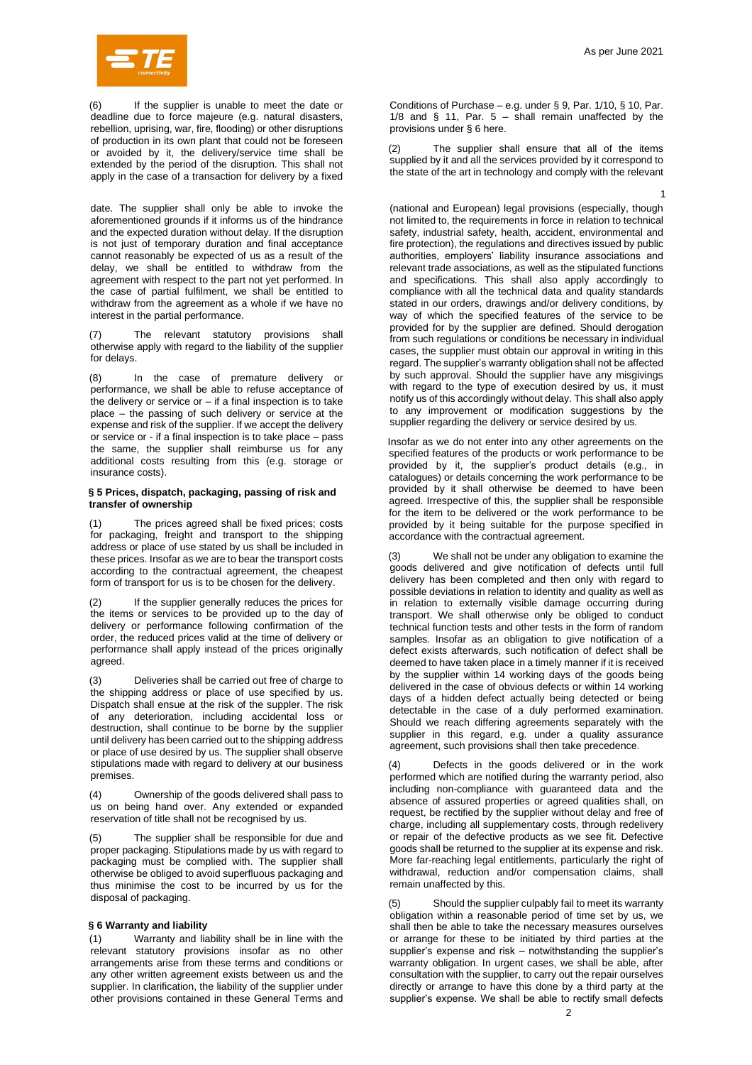

If the supplier is unable to meet the date or deadline due to force majeure (e.g. natural disasters, rebellion, uprising, war, fire, flooding) or other disruptions of production in its own plant that could not be foreseen or avoided by it, the delivery/service time shall be extended by the period of the disruption. This shall not apply in the case of a transaction for delivery by a fixed

date. The supplier shall only be able to invoke the aforementioned grounds if it informs us of the hindrance and the expected duration without delay. If the disruption is not just of temporary duration and final acceptance cannot reasonably be expected of us as a result of the delay, we shall be entitled to withdraw from the agreement with respect to the part not yet performed. In the case of partial fulfilment, we shall be entitled to withdraw from the agreement as a whole if we have no interest in the partial performance.

(7) The relevant statutory provisions shall otherwise apply with regard to the liability of the supplier for delays.

(8) In the case of premature delivery or performance, we shall be able to refuse acceptance of the delivery or service or  $-$  if a final inspection is to take place – the passing of such delivery or service at the expense and risk of the supplier. If we accept the delivery or service or - if a final inspection is to take place – pass the same, the supplier shall reimburse us for any additional costs resulting from this (e.g. storage or insurance costs).

### **§ 5 Prices, dispatch, packaging, passing of risk and transfer of ownership**

The prices agreed shall be fixed prices; costs for packaging, freight and transport to the shipping address or place of use stated by us shall be included in these prices. Insofar as we are to bear the transport costs according to the contractual agreement, the cheapest form of transport for us is to be chosen for the delivery.

(2) If the supplier generally reduces the prices for the items or services to be provided up to the day of delivery or performance following confirmation of the order, the reduced prices valid at the time of delivery or performance shall apply instead of the prices originally agreed.

(3) Deliveries shall be carried out free of charge to the shipping address or place of use specified by us. Dispatch shall ensue at the risk of the suppler. The risk of any deterioration, including accidental loss or destruction, shall continue to be borne by the supplier until delivery has been carried out to the shipping address or place of use desired by us. The supplier shall observe stipulations made with regard to delivery at our business premises.

(4) Ownership of the goods delivered shall pass to us on being hand over. Any extended or expanded reservation of title shall not be recognised by us.

(5) The supplier shall be responsible for due and proper packaging. Stipulations made by us with regard to packaging must be complied with. The supplier shall otherwise be obliged to avoid superfluous packaging and thus minimise the cost to be incurred by us for the disposal of packaging.

## **§ 6 Warranty and liability**

(1) Warranty and liability shall be in line with the relevant statutory provisions insofar as no other arrangements arise from these terms and conditions or any other written agreement exists between us and the supplier. In clarification, the liability of the supplier under other provisions contained in these General Terms and

Conditions of Purchase – e.g. under § 9, Par. 1/10, § 10, Par. 1/8 and  $\S$  11, Par. 5 – shall remain unaffected by the provisions under § 6 here.

(2) The supplier shall ensure that all of the items supplied by it and all the services provided by it correspond to the state of the art in technology and comply with the relevant

(national and European) legal provisions (especially, though not limited to, the requirements in force in relation to technical safety, industrial safety, health, accident, environmental and fire protection), the regulations and directives issued by public authorities, employers' liability insurance associations and relevant trade associations, as well as the stipulated functions and specifications. This shall also apply accordingly to compliance with all the technical data and quality standards stated in our orders, drawings and/or delivery conditions, by way of which the specified features of the service to be provided for by the supplier are defined. Should derogation from such regulations or conditions be necessary in individual cases, the supplier must obtain our approval in writing in this regard. The supplier's warranty obligation shall not be affected by such approval. Should the supplier have any misgivings with regard to the type of execution desired by us, it must notify us of this accordingly without delay. This shall also apply to any improvement or modification suggestions by the supplier regarding the delivery or service desired by us. 1

> Insofar as we do not enter into any other agreements on the specified features of the products or work performance to be provided by it, the supplier's product details (e.g., in catalogues) or details concerning the work performance to be provided by it shall otherwise be deemed to have been agreed. Irrespective of this, the supplier shall be responsible for the item to be delivered or the work performance to be provided by it being suitable for the purpose specified in accordance with the contractual agreement.

> (3) We shall not be under any obligation to examine the goods delivered and give notification of defects until full delivery has been completed and then only with regard to possible deviations in relation to identity and quality as well as in relation to externally visible damage occurring during transport. We shall otherwise only be obliged to conduct technical function tests and other tests in the form of random samples. Insofar as an obligation to give notification of a defect exists afterwards, such notification of defect shall be deemed to have taken place in a timely manner if it is received by the supplier within 14 working days of the goods being delivered in the case of obvious defects or within 14 working days of a hidden defect actually being detected or being detectable in the case of a duly performed examination. Should we reach differing agreements separately with the supplier in this regard, e.g. under a quality assurance agreement, such provisions shall then take precedence.

> Defects in the goods delivered or in the work performed which are notified during the warranty period, also including non-compliance with guaranteed data and the absence of assured properties or agreed qualities shall, on request, be rectified by the supplier without delay and free of charge, including all supplementary costs, through redelivery or repair of the defective products as we see fit. Defective goods shall be returned to the supplier at its expense and risk. More far-reaching legal entitlements, particularly the right of withdrawal, reduction and/or compensation claims, shall remain unaffected by this.

> (5) Should the supplier culpably fail to meet its warranty obligation within a reasonable period of time set by us, we shall then be able to take the necessary measures ourselves or arrange for these to be initiated by third parties at the supplier's expense and risk – notwithstanding the supplier's warranty obligation. In urgent cases, we shall be able, after consultation with the supplier, to carry out the repair ourselves directly or arrange to have this done by a third party at the supplier's expense. We shall be able to rectify small defects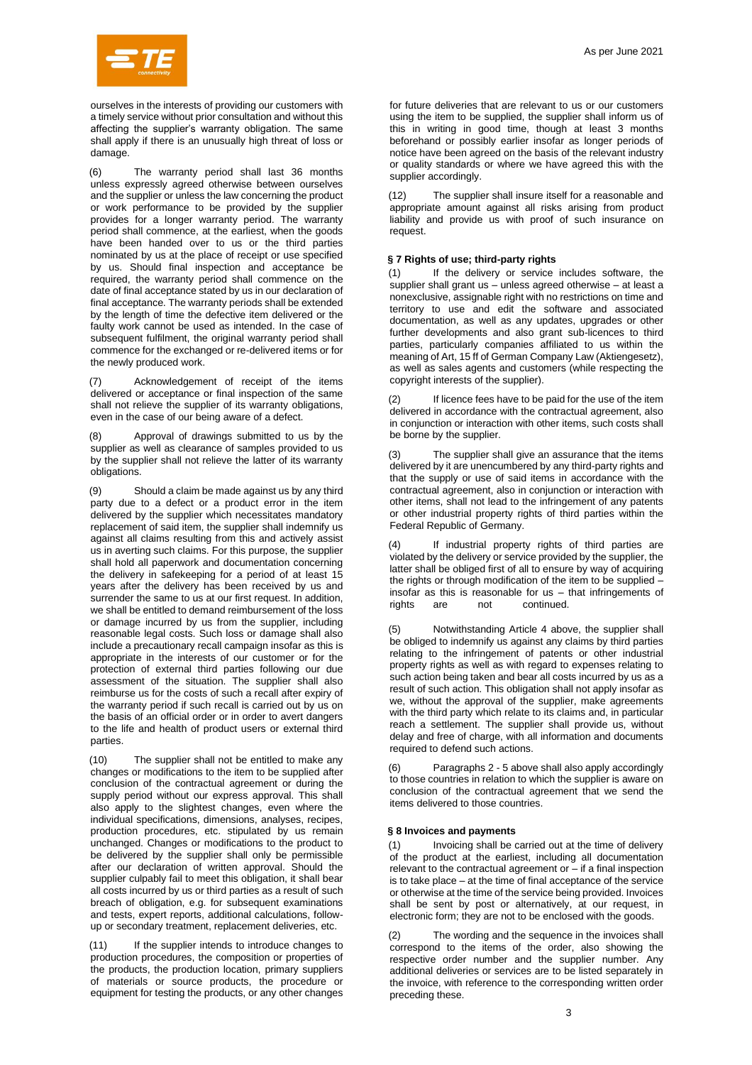

ourselves in the interests of providing our customers with a timely service without prior consultation and without this affecting the supplier's warranty obligation. The same shall apply if there is an unusually high threat of loss or damage.

(6) The warranty period shall last 36 months unless expressly agreed otherwise between ourselves and the supplier or unless the law concerning the product or work performance to be provided by the supplier provides for a longer warranty period. The warranty period shall commence, at the earliest, when the goods have been handed over to us or the third parties nominated by us at the place of receipt or use specified by us. Should final inspection and acceptance be required, the warranty period shall commence on the date of final acceptance stated by us in our declaration of final acceptance. The warranty periods shall be extended by the length of time the defective item delivered or the faulty work cannot be used as intended. In the case of subsequent fulfilment, the original warranty period shall commence for the exchanged or re-delivered items or for the newly produced work.

(7) Acknowledgement of receipt of the items delivered or acceptance or final inspection of the same shall not relieve the supplier of its warranty obligations, even in the case of our being aware of a defect.

(8) Approval of drawings submitted to us by the supplier as well as clearance of samples provided to us by the supplier shall not relieve the latter of its warranty obligations.

(9) Should a claim be made against us by any third party due to a defect or a product error in the item delivered by the supplier which necessitates mandatory replacement of said item, the supplier shall indemnify us against all claims resulting from this and actively assist us in averting such claims. For this purpose, the supplier shall hold all paperwork and documentation concerning the delivery in safekeeping for a period of at least 15 years after the delivery has been received by us and surrender the same to us at our first request. In addition, we shall be entitled to demand reimbursement of the loss or damage incurred by us from the supplier, including reasonable legal costs. Such loss or damage shall also include a precautionary recall campaign insofar as this is appropriate in the interests of our customer or for the protection of external third parties following our due assessment of the situation. The supplier shall also reimburse us for the costs of such a recall after expiry of the warranty period if such recall is carried out by us on the basis of an official order or in order to avert dangers to the life and health of product users or external third parties.

(10) The supplier shall not be entitled to make any changes or modifications to the item to be supplied after conclusion of the contractual agreement or during the supply period without our express approval. This shall also apply to the slightest changes, even where the individual specifications, dimensions, analyses, recipes, production procedures, etc. stipulated by us remain unchanged. Changes or modifications to the product to be delivered by the supplier shall only be permissible after our declaration of written approval. Should the supplier culpably fail to meet this obligation, it shall bear all costs incurred by us or third parties as a result of such breach of obligation, e.g. for subsequent examinations and tests, expert reports, additional calculations, followup or secondary treatment, replacement deliveries, etc.

(11) If the supplier intends to introduce changes to production procedures, the composition or properties of the products, the production location, primary suppliers of materials or source products, the procedure or equipment for testing the products, or any other changes

for future deliveries that are relevant to us or our customers using the item to be supplied, the supplier shall inform us of this in writing in good time, though at least 3 months beforehand or possibly earlier insofar as longer periods of notice have been agreed on the basis of the relevant industry or quality standards or where we have agreed this with the supplier accordingly.

(12) The supplier shall insure itself for a reasonable and appropriate amount against all risks arising from product liability and provide us with proof of such insurance on request.

## **§ 7 Rights of use; third-party rights**

(1) If the delivery or service includes software, the supplier shall grant us – unless agreed otherwise – at least a nonexclusive, assignable right with no restrictions on time and territory to use and edit the software and associated documentation, as well as any updates, upgrades or other further developments and also grant sub-licences to third parties, particularly companies affiliated to us within the meaning of Art, 15 ff of German Company Law (Aktiengesetz), as well as sales agents and customers (while respecting the copyright interests of the supplier).

If licence fees have to be paid for the use of the item delivered in accordance with the contractual agreement, also in conjunction or interaction with other items, such costs shall be borne by the supplier.

The supplier shall give an assurance that the items delivered by it are unencumbered by any third-party rights and that the supply or use of said items in accordance with the contractual agreement, also in conjunction or interaction with other items, shall not lead to the infringement of any patents or other industrial property rights of third parties within the Federal Republic of Germany.

(4) If industrial property rights of third parties are violated by the delivery or service provided by the supplier, the latter shall be obliged first of all to ensure by way of acquiring the rights or through modification of the item to be supplied – insofar as this is reasonable for us  $-$  that infringements of rights are not continued. continued.

Notwithstanding Article 4 above, the supplier shall be obliged to indemnify us against any claims by third parties relating to the infringement of patents or other industrial property rights as well as with regard to expenses relating to such action being taken and bear all costs incurred by us as a result of such action. This obligation shall not apply insofar as we, without the approval of the supplier, make agreements with the third party which relate to its claims and, in particular reach a settlement. The supplier shall provide us, without delay and free of charge, with all information and documents required to defend such actions.

(6) Paragraphs 2 - 5 above shall also apply accordingly to those countries in relation to which the supplier is aware on conclusion of the contractual agreement that we send the items delivered to those countries.

#### **§ 8 Invoices and payments**

(1) Invoicing shall be carried out at the time of delivery of the product at the earliest, including all documentation relevant to the contractual agreement or – if a final inspection is to take place – at the time of final acceptance of the service or otherwise at the time of the service being provided. Invoices shall be sent by post or alternatively, at our request, in electronic form; they are not to be enclosed with the goods.

(2) The wording and the sequence in the invoices shall correspond to the items of the order, also showing the respective order number and the supplier number. Any additional deliveries or services are to be listed separately in the invoice, with reference to the corresponding written order preceding these.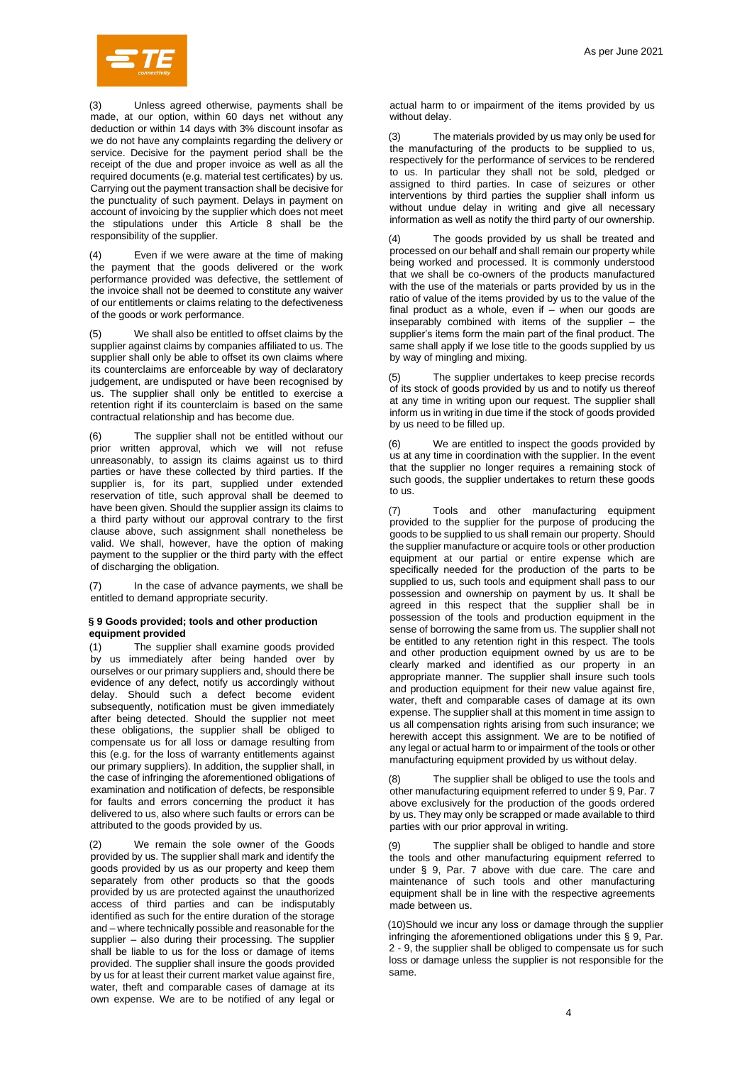

(3) Unless agreed otherwise, payments shall be made, at our option, within 60 days net without any deduction or within 14 days with 3% discount insofar as we do not have any complaints regarding the delivery or service. Decisive for the payment period shall be the receipt of the due and proper invoice as well as all the required documents (e.g. material test certificates) by us. Carrying out the payment transaction shall be decisive for the punctuality of such payment. Delays in payment on account of invoicing by the supplier which does not meet the stipulations under this Article 8 shall be the responsibility of the supplier.

(4) Even if we were aware at the time of making the payment that the goods delivered or the work performance provided was defective, the settlement of the invoice shall not be deemed to constitute any waiver of our entitlements or claims relating to the defectiveness of the goods or work performance.

We shall also be entitled to offset claims by the supplier against claims by companies affiliated to us. The supplier shall only be able to offset its own claims where its counterclaims are enforceable by way of declaratory judgement, are undisputed or have been recognised by us. The supplier shall only be entitled to exercise a retention right if its counterclaim is based on the same contractual relationship and has become due.

(6) The supplier shall not be entitled without our prior written approval, which we will not refuse unreasonably, to assign its claims against us to third parties or have these collected by third parties. If the supplier is, for its part, supplied under extended reservation of title, such approval shall be deemed to have been given. Should the supplier assign its claims to a third party without our approval contrary to the first clause above, such assignment shall nonetheless be valid. We shall, however, have the option of making payment to the supplier or the third party with the effect of discharging the obligation.

(7) In the case of advance payments, we shall be entitled to demand appropriate security.

## **§ 9 Goods provided; tools and other production equipment provided**

(1) The supplier shall examine goods provided by us immediately after being handed over by ourselves or our primary suppliers and, should there be evidence of any defect, notify us accordingly without delay. Should such a defect become evident subsequently, notification must be given immediately after being detected. Should the supplier not meet these obligations, the supplier shall be obliged to compensate us for all loss or damage resulting from this (e.g. for the loss of warranty entitlements against our primary suppliers). In addition, the supplier shall, in the case of infringing the aforementioned obligations of examination and notification of defects, be responsible for faults and errors concerning the product it has delivered to us, also where such faults or errors can be attributed to the goods provided by us.

(2) We remain the sole owner of the Goods provided by us. The supplier shall mark and identify the goods provided by us as our property and keep them separately from other products so that the goods provided by us are protected against the unauthorized access of third parties and can be indisputably identified as such for the entire duration of the storage and – where technically possible and reasonable for the supplier – also during their processing. The supplier shall be liable to us for the loss or damage of items provided. The supplier shall insure the goods provided by us for at least their current market value against fire, water, theft and comparable cases of damage at its own expense. We are to be notified of any legal or actual harm to or impairment of the items provided by us without delay.

(3) The materials provided by us may only be used for the manufacturing of the products to be supplied to us, respectively for the performance of services to be rendered to us. In particular they shall not be sold, pledged or assigned to third parties. In case of seizures or other interventions by third parties the supplier shall inform us without undue delay in writing and give all necessary information as well as notify the third party of our ownership.

(4) The goods provided by us shall be treated and processed on our behalf and shall remain our property while being worked and processed. It is commonly understood that we shall be co-owners of the products manufactured with the use of the materials or parts provided by us in the ratio of value of the items provided by us to the value of the final product as a whole, even if  $-$  when our goods are inseparably combined with items of the supplier – the supplier's items form the main part of the final product. The same shall apply if we lose title to the goods supplied by us by way of mingling and mixing.

(5) The supplier undertakes to keep precise records of its stock of goods provided by us and to notify us thereof at any time in writing upon our request. The supplier shall inform us in writing in due time if the stock of goods provided by us need to be filled up.

(6) We are entitled to inspect the goods provided by us at any time in coordination with the supplier. In the event that the supplier no longer requires a remaining stock of such goods, the supplier undertakes to return these goods to us.

(7) Tools and other manufacturing equipment provided to the supplier for the purpose of producing the goods to be supplied to us shall remain our property. Should the supplier manufacture or acquire tools or other production equipment at our partial or entire expense which are specifically needed for the production of the parts to be supplied to us, such tools and equipment shall pass to our possession and ownership on payment by us. It shall be agreed in this respect that the supplier shall be in possession of the tools and production equipment in the sense of borrowing the same from us. The supplier shall not be entitled to any retention right in this respect. The tools and other production equipment owned by us are to be clearly marked and identified as our property in an appropriate manner. The supplier shall insure such tools and production equipment for their new value against fire, water, theft and comparable cases of damage at its own expense. The supplier shall at this moment in time assign to us all compensation rights arising from such insurance; we herewith accept this assignment. We are to be notified of any legal or actual harm to or impairment of the tools or other manufacturing equipment provided by us without delay.

(8) The supplier shall be obliged to use the tools and other manufacturing equipment referred to under § 9, Par. 7 above exclusively for the production of the goods ordered by us. They may only be scrapped or made available to third parties with our prior approval in writing.

(9) The supplier shall be obliged to handle and store the tools and other manufacturing equipment referred to under § 9, Par. 7 above with due care. The care and maintenance of such tools and other manufacturing equipment shall be in line with the respective agreements made between us.

(10)Should we incur any loss or damage through the supplier infringing the aforementioned obligations under this § 9, Par. 2 - 9, the supplier shall be obliged to compensate us for such loss or damage unless the supplier is not responsible for the same.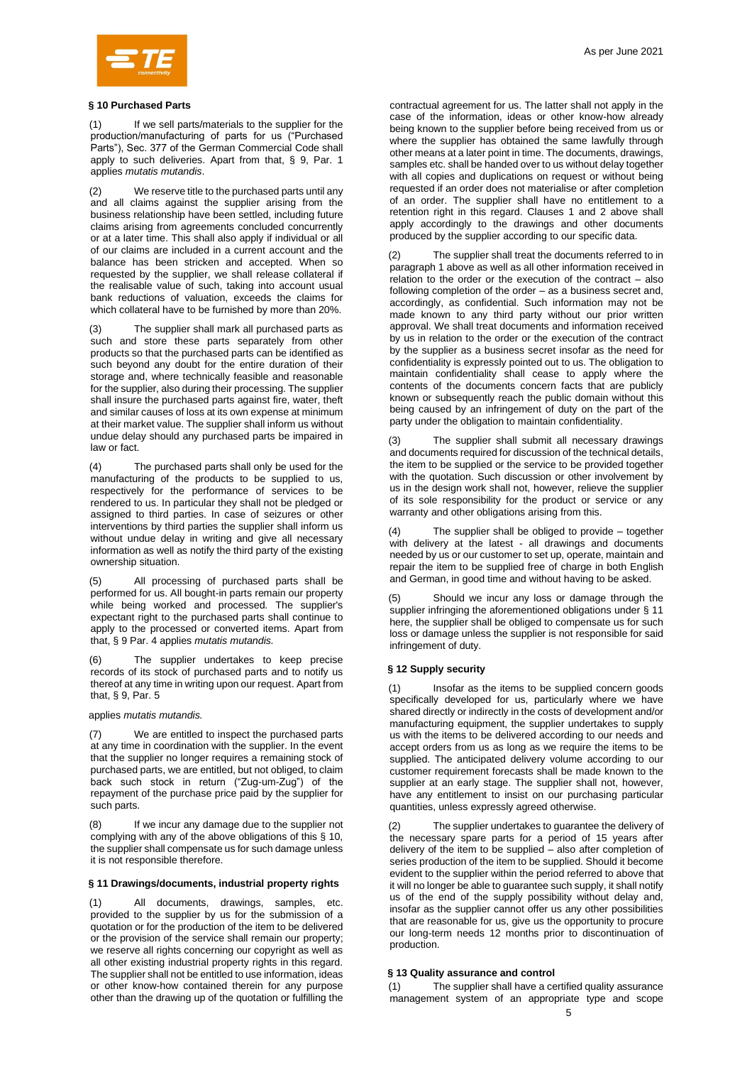

### **§ 10 Purchased Parts**

(1) If we sell parts/materials to the supplier for the production/manufacturing of parts for us ("Purchased Parts"), Sec. 377 of the German Commercial Code shall apply to such deliveries. Apart from that, § 9, Par. 1 applies *mutatis mutandis*.

(2) We reserve title to the purchased parts until any and all claims against the supplier arising from the business relationship have been settled, including future claims arising from agreements concluded concurrently or at a later time. This shall also apply if individual or all of our claims are included in a current account and the balance has been stricken and accepted. When so requested by the supplier, we shall release collateral if the realisable value of such, taking into account usual bank reductions of valuation, exceeds the claims for which collateral have to be furnished by more than 20%.

The supplier shall mark all purchased parts as such and store these parts separately from other products so that the purchased parts can be identified as such beyond any doubt for the entire duration of their storage and, where technically feasible and reasonable for the supplier, also during their processing. The supplier shall insure the purchased parts against fire, water, theft and similar causes of loss at its own expense at minimum at their market value. The supplier shall inform us without undue delay should any purchased parts be impaired in law or fact.

(4) The purchased parts shall only be used for the manufacturing of the products to be supplied to us, respectively for the performance of services to be rendered to us. In particular they shall not be pledged or assigned to third parties. In case of seizures or other interventions by third parties the supplier shall inform us without undue delay in writing and give all necessary information as well as notify the third party of the existing ownership situation.

All processing of purchased parts shall be performed for us. All bought-in parts remain our property while being worked and processed. The supplier's expectant right to the purchased parts shall continue to apply to the processed or converted items. Apart from that, § 9 Par. 4 applies *mutatis mutandis.*

The supplier undertakes to keep precise records of its stock of purchased parts and to notify us thereof at any time in writing upon our request. Apart from that, § 9, Par. 5

applies *mutatis mutandis.*

(7) We are entitled to inspect the purchased parts at any time in coordination with the supplier. In the event that the supplier no longer requires a remaining stock of purchased parts, we are entitled, but not obliged, to claim back such stock in return ("Zug-um-Zug") of the repayment of the purchase price paid by the supplier for such parts.

If we incur any damage due to the supplier not complying with any of the above obligations of this § 10, the supplier shall compensate us for such damage unless it is not responsible therefore.

## **§ 11 Drawings/documents, industrial property rights**

(1) All documents, drawings, samples, etc. provided to the supplier by us for the submission of a quotation or for the production of the item to be delivered or the provision of the service shall remain our property; we reserve all rights concerning our copyright as well as all other existing industrial property rights in this regard. The supplier shall not be entitled to use information, ideas or other know-how contained therein for any purpose other than the drawing up of the quotation or fulfilling the

contractual agreement for us. The latter shall not apply in the case of the information, ideas or other know-how already being known to the supplier before being received from us or where the supplier has obtained the same lawfully through other means at a later point in time. The documents, drawings, samples etc. shall be handed over to us without delay together with all copies and duplications on request or without being requested if an order does not materialise or after completion of an order. The supplier shall have no entitlement to a retention right in this regard. Clauses 1 and 2 above shall apply accordingly to the drawings and other documents produced by the supplier according to our specific data.

(2) The supplier shall treat the documents referred to in paragraph 1 above as well as all other information received in relation to the order or the execution of the contract – also following completion of the order – as a business secret and, accordingly, as confidential. Such information may not be made known to any third party without our prior written approval. We shall treat documents and information received by us in relation to the order or the execution of the contract by the supplier as a business secret insofar as the need for confidentiality is expressly pointed out to us. The obligation to maintain confidentiality shall cease to apply where the contents of the documents concern facts that are publicly known or subsequently reach the public domain without this being caused by an infringement of duty on the part of the party under the obligation to maintain confidentiality.

(3) The supplier shall submit all necessary drawings and documents required for discussion of the technical details, the item to be supplied or the service to be provided together with the quotation. Such discussion or other involvement by us in the design work shall not, however, relieve the supplier of its sole responsibility for the product or service or any warranty and other obligations arising from this.

The supplier shall be obliged to provide  $-$  together with delivery at the latest - all drawings and documents needed by us or our customer to set up, operate, maintain and repair the item to be supplied free of charge in both English and German, in good time and without having to be asked.

(5) Should we incur any loss or damage through the supplier infringing the aforementioned obligations under § 11 here, the supplier shall be obliged to compensate us for such loss or damage unless the supplier is not responsible for said infringement of duty.

### **§ 12 Supply security**

Insofar as the items to be supplied concern goods specifically developed for us, particularly where we have shared directly or indirectly in the costs of development and/or manufacturing equipment, the supplier undertakes to supply us with the items to be delivered according to our needs and accept orders from us as long as we require the items to be supplied. The anticipated delivery volume according to our customer requirement forecasts shall be made known to the supplier at an early stage. The supplier shall not, however, have any entitlement to insist on our purchasing particular quantities, unless expressly agreed otherwise.

The supplier undertakes to guarantee the delivery of the necessary spare parts for a period of 15 years after delivery of the item to be supplied – also after completion of series production of the item to be supplied. Should it become evident to the supplier within the period referred to above that it will no longer be able to guarantee such supply, it shall notify us of the end of the supply possibility without delay and, insofar as the supplier cannot offer us any other possibilities that are reasonable for us, give us the opportunity to procure our long-term needs 12 months prior to discontinuation of production.

### **§ 13 Quality assurance and control**

(1) The supplier shall have a certified quality assurance management system of an appropriate type and scope